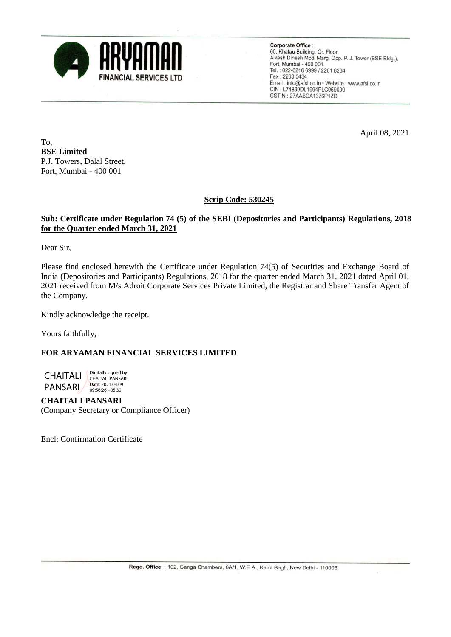

**Corporate Office:** 60, Khatau Building, Gr. Floor,<br>60, Khatau Building, Gr. Floor,<br>Alkesh Dinesh Modi Marg, Opp. P. J. Tower (BSE Bldg.), Fort, Mumbai - 400 001. Tel.: 022-6216 6999 / 2261 8264 Fax: 2263 0434 Email: info@afsl.co.in • Website: www.afsl.co.in CIN: L74899DL1994PLC059009 GSTIN: 27AABCA1376P1ZD

April 08, 2021

To, **BSE Limited** P.J. Towers, Dalal Street, Fort, Mumbai - 400 001

**Scrip Code: 530245**

## **Sub: Certificate under Regulation 74 (5) of the SEBI (Depositories and Participants) Regulations, 2018 for the Quarter ended March 31, 2021**

Dear Sir,

Please find enclosed herewith the Certificate under Regulation 74(5) of Securities and Exchange Board of India (Depositories and Participants) Regulations, 2018 for the quarter ended March 31, 2021 dated April 01, 2021 received from M/s Adroit Corporate Services Private Limited, the Registrar and Share Transfer Agent of the Company.

Kindly acknowledge the receipt.

Yours faithfully,

## **FOR ARYAMAN FINANCIAL SERVICES LIMITED**



**CHAITALI PANSARI** (Company Secretary or Compliance Officer)

Encl: Confirmation Certificate